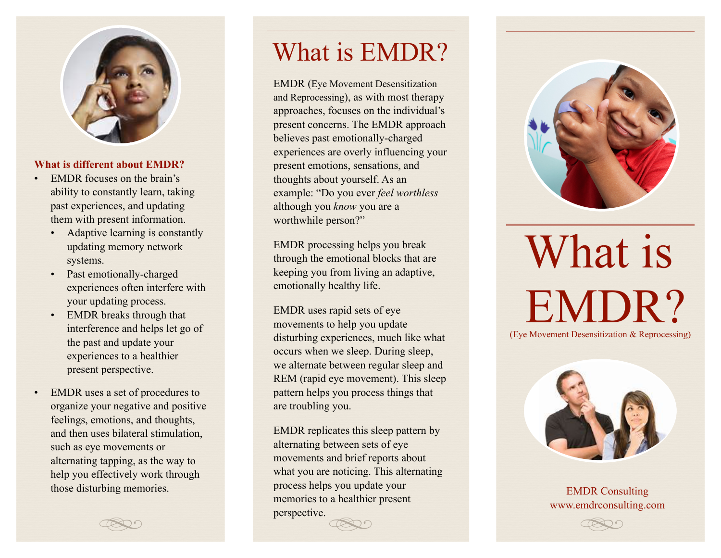

#### **What is different about EMDR?**

- EMDR focuses on the brain's ability to constantly learn, taking past experiences, and updating them with present information.
	- Adaptive learning is constantly updating memory network systems.
	- Past emotionally-charged experiences often interfere with your updating process.
	- EMDR breaks through that interference and helps let go of the past and update your experiences to a healthier present perspective.
- EMDR uses a set of procedures to organize your negative and positive feelings, emotions, and thoughts, and then uses bilateral stimulation, such as eye movements or alternating tapping, as the way to help you effectively work through

What is EMDR?

EMDR (Eye Movement Desensitization and Reprocessing), as with most therapy approaches, focuses on the individual's present concerns. The EMDR approach believes past emotionally-charged experiences are overly influencing your present emotions, sensations, and thoughts about yourself. As an example: "Do you ever *feel worthless* although you *know* you are a worthwhile person?"

EMDR processing helps you break through the emotional blocks that are keeping you from living an adaptive, emotionally healthy life.

EMDR uses rapid sets of eye movements to help you update disturbing experiences, much like what occurs when we sleep. During sleep, we alternate between regular sleep and REM (rapid eye movement). This sleep pattern helps you process things that are troubling you.

EMDR replicates this sleep pattern by alternating between sets of eye movements and brief reports about what you are noticing. This alternating process helps you update your memories to a healthier present perspective. those disturbing memories. The process helps you update your example of the EMDR Consulting example of the EMDR Consulting



What is EMDR? (Eye Movement Desensitization & Reprocessing)



[www.emdrconsulting.com](http://www.emdrconsulting.com)